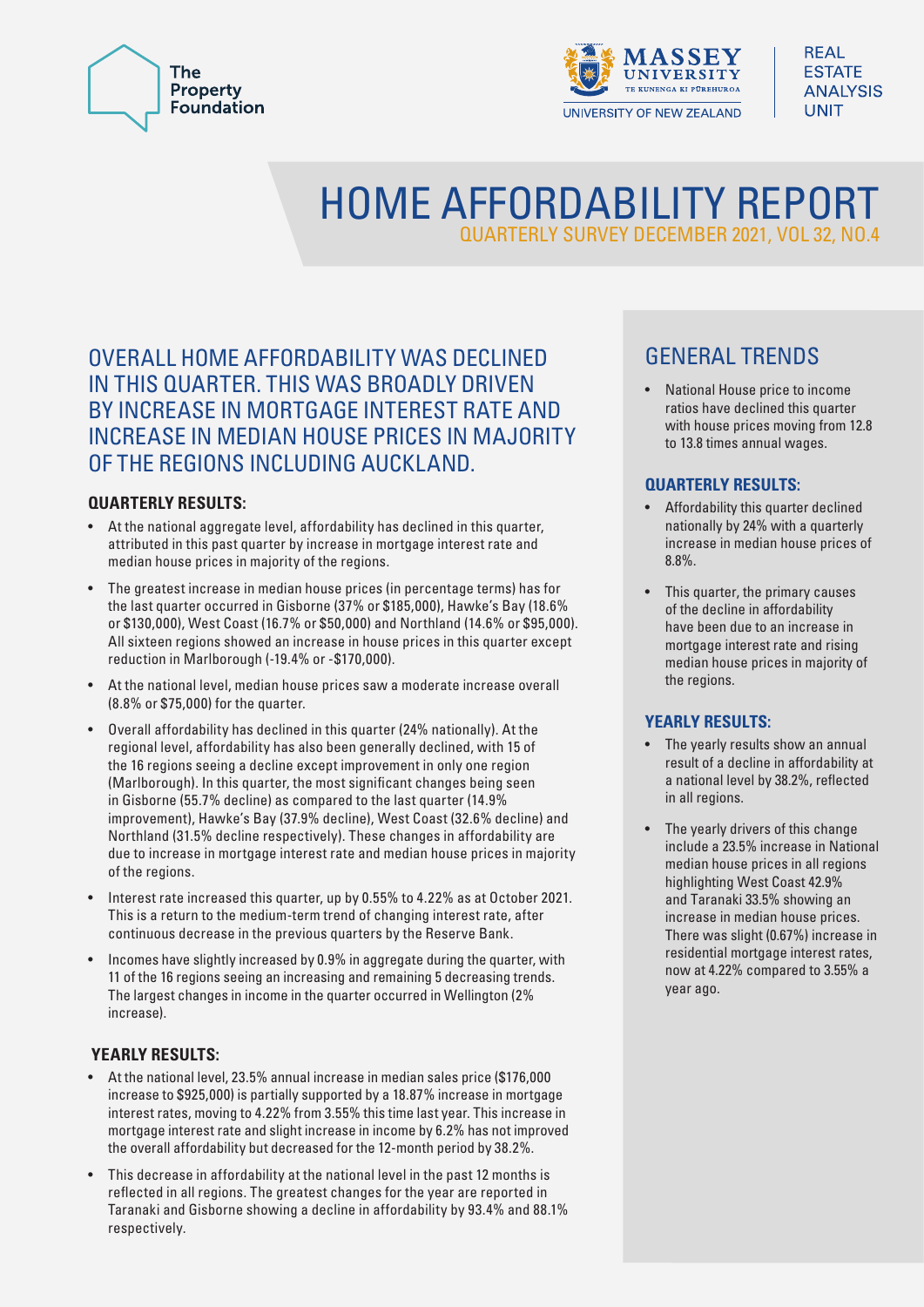



# HOME AFFORDABILITY REPORT QUARTERLY SURVEY DECEMBER 2021, VOL 32, NO.4

#### OVERALL HOME AFFORDABILITY WAS DECLINED IN THIS QUARTER. THIS WAS BROADLY DRIVEN BY INCREASE IN MORTGAGE INTEREST RATE AND INCREASE IN MEDIAN HOUSE PRICES IN MAJORITY OF THE REGIONS INCLUDING AUCKLAND.

#### **QUARTERLY RESULTS:**

- At the national aggregate level, affordability has declined in this quarter, attributed in this past quarter by increase in mortgage interest rate and median house prices in majority of the regions.
- The greatest increase in median house prices (in percentage terms) has for the last quarter occurred in Gisborne (37% or \$185,000), Hawke's Bay (18.6% or \$130,000), West Coast (16.7% or \$50,000) and Northland (14.6% or \$95,000). All sixteen regions showed an increase in house prices in this quarter except reduction in Marlborough (-19.4% or -\$170,000).
- At the national level, median house prices saw a moderate increase overall (8.8% or \$75,000) for the quarter.
- Overall affordability has declined in this quarter (24% nationally). At the regional level, affordability has also been generally declined, with 15 of the 16 regions seeing a decline except improvement in only one region (Marlborough). In this quarter, the most significant changes being seen in Gisborne (55.7% decline) as compared to the last quarter (14.9% improvement), Hawke's Bay (37.9% decline), West Coast (32.6% decline) and Northland (31.5% decline respectively). These changes in affordability are due to increase in mortgage interest rate and median house prices in majority of the regions.
- Interest rate increased this quarter, up by 0.55% to 4.22% as at October 2021. This is a return to the medium-term trend of changing interest rate, after continuous decrease in the previous quarters by the Reserve Bank.
- Incomes have slightly increased by 0.9% in aggregate during the quarter, with 11 of the 16 regions seeing an increasing and remaining 5 decreasing trends. The largest changes in income in the quarter occurred in Wellington (2% increase).

#### **YEARLY RESULTS:**

- At the national level, 23.5% annual increase in median sales price (\$176,000 increase to \$925,000) is partially supported by a 18.87% increase in mortgage interest rates, moving to 4.22% from 3.55% this time last year. This increase in mortgage interest rate and slight increase in income by 6.2% has not improved the overall affordability but decreased for the 12-month period by 38.2%.
- This decrease in affordability at the national level in the past 12 months is reflected in all regions. The greatest changes for the year are reported in Taranaki and Gisborne showing a decline in affordability by 93.4% and 88.1% respectively.

# GENERAL TRENDS

• National House price to income ratios have declined this quarter with house prices moving from 12.8 to 13.8 times annual wages.

#### **QUARTERLY RESULTS:**

- Affordability this quarter declined nationally by 24% with a quarterly increase in median house prices of 8.8%.
- This quarter, the primary causes of the decline in affordability have been due to an increase in mortgage interest rate and rising median house prices in majority of the regions.

#### **YEARLY RESULTS:**

- The yearly results show an annual result of a decline in affordability at a national level by 38.2%, reflected in all regions.
- The yearly drivers of this change include a 23.5% increase in National median house prices in all regions highlighting West Coast 42.9% and Taranaki 33.5% showing an increase in median house prices. There was slight (0.67%) increase in residential mortgage interest rates, now at 4.22% compared to 3.55% a year ago.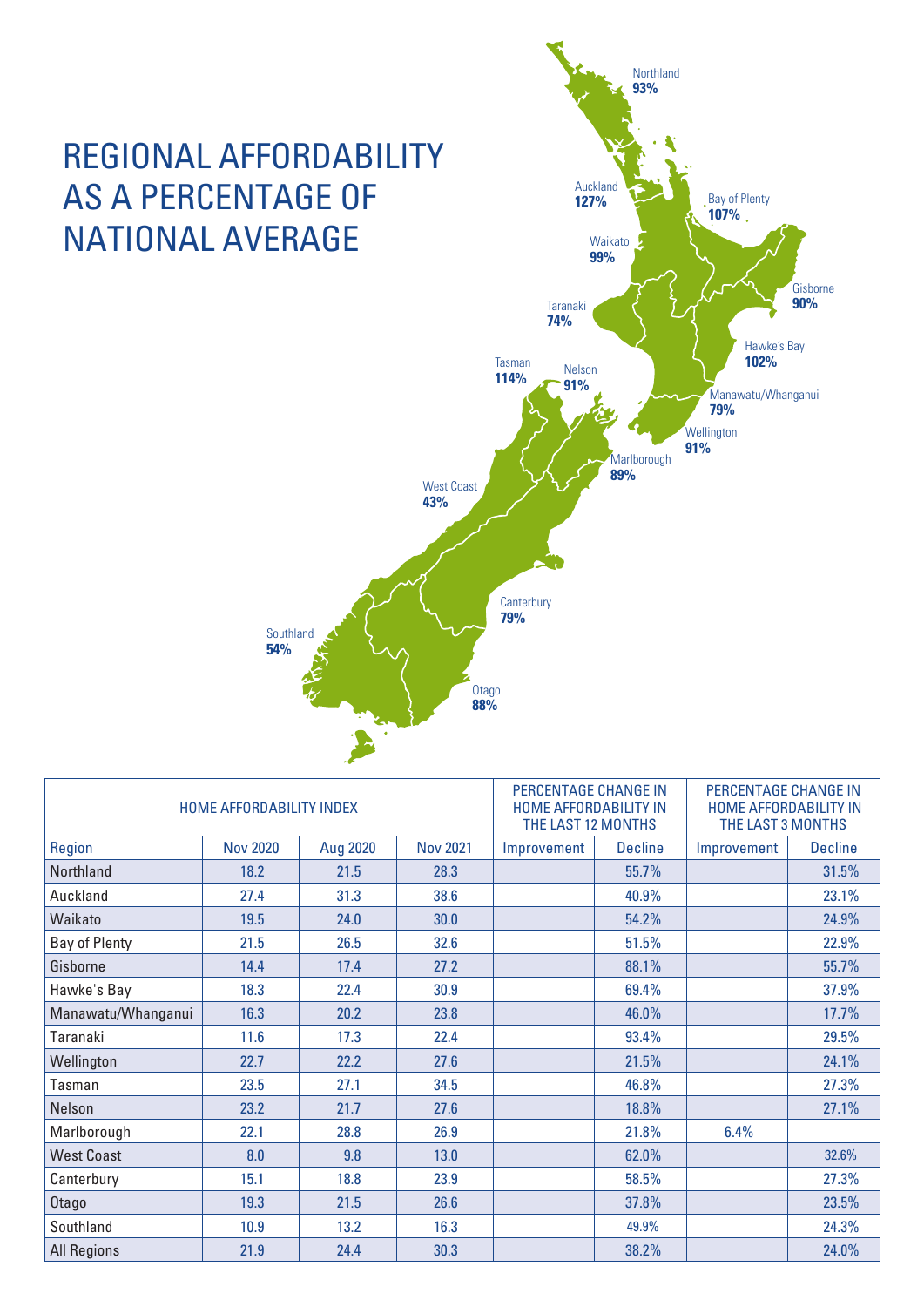

| HOME AFFORDABILITY INDEX |                 |          |                 | PERCENTAGE CHANGE IN<br>HOME AFFORDABILITY IN<br>THE LAST 12 MONTHS |                | PERCENTAGE CHANGE IN<br>HOME AFFORDABILITY IN<br>THE LAST 3 MONTHS |                |
|--------------------------|-----------------|----------|-----------------|---------------------------------------------------------------------|----------------|--------------------------------------------------------------------|----------------|
| Region                   | <b>Nov 2020</b> | Aug 2020 | <b>Nov 2021</b> | Improvement                                                         | <b>Decline</b> | Improvement                                                        | <b>Decline</b> |
| Northland                | 18.2            | 21.5     | 28.3            |                                                                     | 55.7%          |                                                                    | 31.5%          |
| Auckland                 | 27.4            | 31.3     | 38.6            |                                                                     | 40.9%          |                                                                    | 23.1%          |
| Waikato                  | 19.5            | 24.0     | 30.0            |                                                                     | 54.2%          |                                                                    | 24.9%          |
| Bay of Plenty            | 21.5            | 26.5     | 32.6            |                                                                     | 51.5%          |                                                                    | 22.9%          |
| Gisborne                 | 14.4            | 17.4     | 27.2            |                                                                     | 88.1%          |                                                                    | 55.7%          |
| Hawke's Bay              | 18.3            | 22.4     | 30.9            |                                                                     | 69.4%          |                                                                    | 37.9%          |
| Manawatu/Whanganui       | 16.3            | 20.2     | 23.8            |                                                                     | 46.0%          |                                                                    | 17.7%          |
| Taranaki                 | 11.6            | 17.3     | 22.4            |                                                                     | 93.4%          |                                                                    | 29.5%          |
| Wellington               | 22.7            | 22.2     | 27.6            |                                                                     | 21.5%          |                                                                    | 24.1%          |
| Tasman                   | 23.5            | 27.1     | 34.5            |                                                                     | 46.8%          |                                                                    | 27.3%          |
| Nelson                   | 23.2            | 21.7     | 27.6            |                                                                     | 18.8%          |                                                                    | 27.1%          |
| Marlborough              | 22.1            | 28.8     | 26.9            |                                                                     | 21.8%          | 6.4%                                                               |                |
| <b>West Coast</b>        | 8.0             | 9.8      | 13.0            |                                                                     | 62.0%          |                                                                    | 32.6%          |
| Canterbury               | 15.1            | 18.8     | 23.9            |                                                                     | 58.5%          |                                                                    | 27.3%          |
| Otago                    | 19.3            | 21.5     | 26.6            |                                                                     | 37.8%          |                                                                    | 23.5%          |
| Southland                | 10.9            | 13.2     | 16.3            |                                                                     | 49.9%          |                                                                    | 24.3%          |
| <b>All Regions</b>       | 21.9            | 24.4     | 30.3            |                                                                     | 38.2%          |                                                                    | 24.0%          |